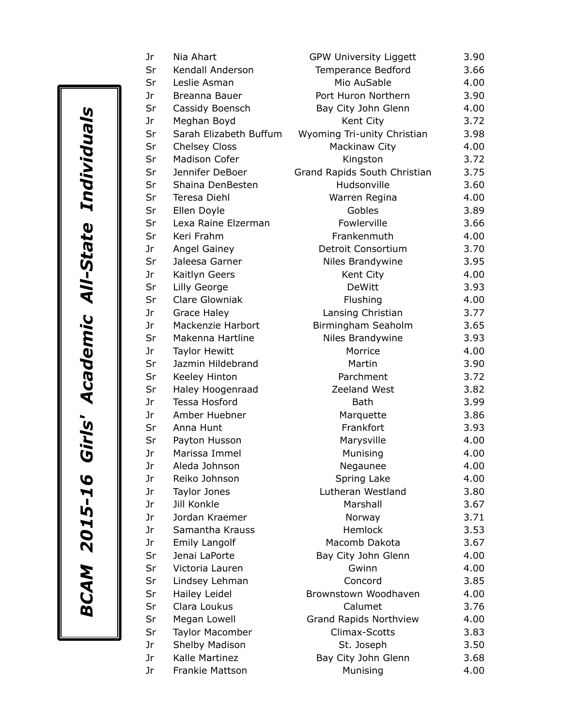| Jr | Nia Ahart              | <b>GPW University Liggett</b> | 3.90 |
|----|------------------------|-------------------------------|------|
| Sr | Kendall Anderson       | Temperance Bedford            | 3.66 |
| Sr | Leslie Asman           | Mio AuSable                   | 4.00 |
| Jr | Breanna Bauer          | Port Huron Northern           | 3.90 |
| Sr | Cassidy Boensch        | Bay City John Glenn           | 4.00 |
| Jr | Meghan Boyd            | Kent City                     | 3.72 |
| Sr | Sarah Elizabeth Buffum | Wyoming Tri-unity Christian   | 3.98 |
| Sr | Chelsey Closs          | Mackinaw City                 | 4.00 |
| Sr | Madison Cofer          | Kingston                      | 3.72 |
| Sr | Jennifer DeBoer        | Grand Rapids South Christian  | 3.75 |
| Sr | Shaina DenBesten       | Hudsonville                   | 3.60 |
| Sr | Teresa Diehl           | Warren Regina                 | 4.00 |
| Sr | Ellen Doyle            | Gobles                        | 3.89 |
| Sr | Lexa Raine Elzerman    | Fowlerville                   | 3.66 |
| Sr | Keri Frahm             | Frankenmuth                   | 4.00 |
| Jr | <b>Angel Gainey</b>    | Detroit Consortium            | 3.70 |
| Sr | Jaleesa Garner         | Niles Brandywine              | 3.95 |
| Jr | Kaitlyn Geers          | Kent City                     | 4.00 |
| Sr | Lilly George           | <b>DeWitt</b>                 | 3.93 |
| Sr | <b>Clare Glowniak</b>  | Flushing                      | 4.00 |
| Jr | Grace Haley            | Lansing Christian             | 3.77 |
| Jr | Mackenzie Harbort      | Birmingham Seaholm            | 3.65 |
| Sr | Makenna Hartline       | Niles Brandywine              | 3.93 |
| Jr | <b>Taylor Hewitt</b>   | Morrice                       | 4.00 |
| Sr | Jazmin Hildebrand      | Martin                        | 3.90 |
| Sr | Keeley Hinton          | Parchment                     | 3.72 |
| Sr | Haley Hoogenraad       | Zeeland West                  | 3.82 |
| Jr | Tessa Hosford          | Bath                          | 3.99 |
| Jr | Amber Huebner          | Marquette                     | 3.86 |
| Sr | Anna Hunt              | Frankfort                     | 3.93 |
| Sr | Payton Husson          | Marysville                    | 4.00 |
| Jr | Marissa Immel          | Munising                      | 4.00 |
| Jr | Aleda Johnson          | Negaunee                      | 4.00 |
| Jr | Reiko Johnson          | Spring Lake                   | 4.00 |
| Jr | <b>Taylor Jones</b>    | Lutheran Westland             | 3.80 |
| Jr | Jill Konkle            | Marshall                      | 3.67 |
| Jr | Jordan Kraemer         | Norway                        | 3.71 |
| Jr | Samantha Krauss        | Hemlock                       | 3.53 |
| Jr | <b>Emily Langolf</b>   | Macomb Dakota                 | 3.67 |
| Sr | Jenai LaPorte          | Bay City John Glenn           | 4.00 |
| Sr | Victoria Lauren        | Gwinn                         | 4.00 |
| Sr | Lindsey Lehman         | Concord                       | 3.85 |
| Sr | Hailey Leidel          | Brownstown Woodhaven          | 4.00 |
| Sr | Clara Loukus           | Calumet                       | 3.76 |
| Sr | Megan Lowell           | Grand Rapids Northview        | 4.00 |
| Sr | <b>Taylor Macomber</b> | Climax-Scotts                 | 3.83 |
| Jr | Shelby Madison         | St. Joseph                    | 3.50 |
| Jr | Kalle Martinez         | Bay City John Glenn           | 3.68 |
| Jr | Frankie Mattson        | Munising                      | 4.00 |